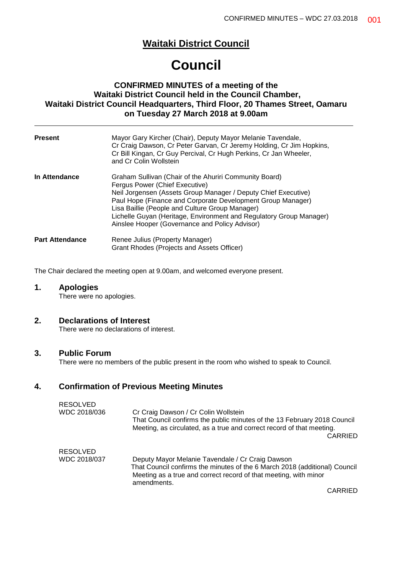# **Waitaki District Council**

# **Council**

## **CONFIRMED MINUTES of a meeting of the Waitaki District Council held in the Council Chamber, Waitaki District Council Headquarters, Third Floor, 20 Thames Street, Oamaru on Tuesday 27 March 2018 at 9.00am**

| <b>Present</b>         | Mayor Gary Kircher (Chair), Deputy Mayor Melanie Tavendale,<br>Cr Craig Dawson, Cr Peter Garvan, Cr Jeremy Holding, Cr Jim Hopkins,<br>Cr Bill Kingan, Cr Guy Percival, Cr Hugh Perkins, Cr Jan Wheeler,<br>and Cr Colin Wollstein                                                                                                                                                                    |
|------------------------|-------------------------------------------------------------------------------------------------------------------------------------------------------------------------------------------------------------------------------------------------------------------------------------------------------------------------------------------------------------------------------------------------------|
| In Attendance          | Graham Sullivan (Chair of the Ahuriri Community Board)<br>Fergus Power (Chief Executive)<br>Neil Jorgensen (Assets Group Manager / Deputy Chief Executive)<br>Paul Hope (Finance and Corporate Development Group Manager)<br>Lisa Baillie (People and Culture Group Manager)<br>Lichelle Guyan (Heritage, Environment and Regulatory Group Manager)<br>Ainslee Hooper (Governance and Policy Advisor) |
| <b>Part Attendance</b> | Renee Julius (Property Manager)<br>Grant Rhodes (Projects and Assets Officer)                                                                                                                                                                                                                                                                                                                         |

The Chair declared the meeting open at 9.00am, and welcomed everyone present.

## **1. Apologies**

There were no apologies.

## **2. Declarations of Interest**

There were no declarations of interest.

## **3. Public Forum**

There were no members of the public present in the room who wished to speak to Council.

## **4. Confirmation of Previous Meeting Minutes**

| RESOLVED<br>WDC 2018/036 | Cr Craig Dawson / Cr Colin Wollstein<br>That Council confirms the public minutes of the 13 February 2018 Council<br>Meeting, as circulated, as a true and correct record of that meeting.                         |
|--------------------------|-------------------------------------------------------------------------------------------------------------------------------------------------------------------------------------------------------------------|
|                          | <b>CARRIED</b>                                                                                                                                                                                                    |
| RESOLVED                 |                                                                                                                                                                                                                   |
| WDC 2018/037             | Deputy Mayor Melanie Tavendale / Cr Craig Dawson<br>That Council confirms the minutes of the 6 March 2018 (additional) Council<br>Meeting as a true and correct record of that meeting, with minor<br>amendments. |
|                          | $\bigcap$                                                                                                                                                                                                         |

CARRIED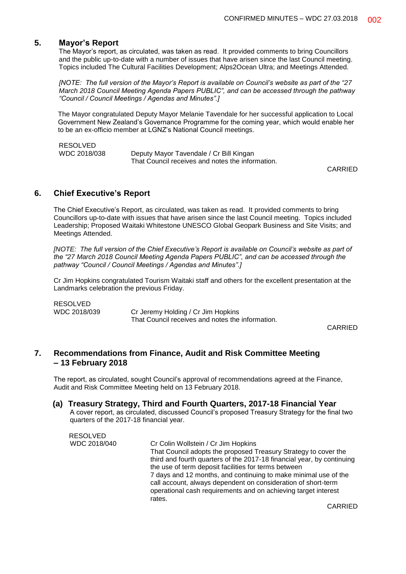## **5. Mayor's Report**

The Mayor's report, as circulated, was taken as read. It provided comments to bring Councillors and the public up-to-date with a number of issues that have arisen since the last Council meeting. Topics included The Cultural Facilities Development; Alps2Ocean Ultra; and Meetings Attended.

*[NOTE: The full version of the Mayor's Report is available on Council's website as part of the "27 March 2018 Council Meeting Agenda Papers PUBLIC", and can be accessed through the pathway "Council / Council Meetings / Agendas and Minutes".]*

The Mayor congratulated Deputy Mayor Melanie Tavendale for her successful application to Local Government New Zealand's Governance Programme for the coming year, which would enable her to be an ex-officio member at LGNZ's National Council meetings.

| <b>RESOLVED</b> |                                                  |
|-----------------|--------------------------------------------------|
| WDC 2018/038    | Deputy Mayor Tavendale / Cr Bill Kingan          |
|                 | That Council receives and notes the information. |

CARRIED

## **6. Chief Executive's Report**

The Chief Executive's Report, as circulated, was taken as read. It provided comments to bring Councillors up-to-date with issues that have arisen since the last Council meeting. Topics included Leadership; Proposed Waitaki Whitestone UNESCO Global Geopark Business and Site Visits; and Meetings Attended.

*[NOTE: The full version of the Chief Executive's Report is available on Council's website as part of the "27 March 2018 Council Meeting Agenda Papers PUBLIC", and can be accessed through the pathway "Council / Council Meetings / Agendas and Minutes".]*

Cr Jim Hopkins congratulated Tourism Waitaki staff and others for the excellent presentation at the Landmarks celebration the previous Friday.

RESOLVED WDC 2018/039 Cr Jeremy Holding / Cr Jim Hopkins That Council receives and notes the information.

CARRIED

## **7. Recommendations from Finance, Audit and Risk Committee Meeting – 13 February 2018**

The report, as circulated, sought Council's approval of recommendations agreed at the Finance, Audit and Risk Committee Meeting held on 13 February 2018.

## **(a) Treasury Strategy, Third and Fourth Quarters, 2017-18 Financial Year**

A cover report, as circulated, discussed Council's proposed Treasury Strategy for the final two quarters of the 2017-18 financial year.

| RESOLVED     |                                                                                                                                  |
|--------------|----------------------------------------------------------------------------------------------------------------------------------|
| WDC 2018/040 | Cr Colin Wollstein / Cr Jim Hopkins                                                                                              |
|              | That Council adopts the proposed Treasury Strategy to cover the                                                                  |
|              | third and fourth quarters of the 2017-18 financial year, by continuing<br>the use of term deposit facilities for terms between   |
|              | 7 days and 12 months, and continuing to make minimal use of the<br>call account, always dependent on consideration of short-term |
|              | operational cash requirements and on achieving target interest<br>rates.                                                         |
|              |                                                                                                                                  |

CARRIED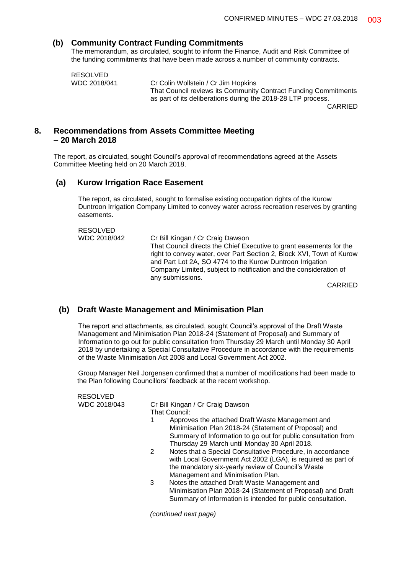## **(b) Community Contract Funding Commitments**

The memorandum, as circulated, sought to inform the Finance, Audit and Risk Committee of the funding commitments that have been made across a number of community contracts.

RESOLVED

WDC 2018/041 Cr Colin Wollstein / Cr Jim Hopkins That Council reviews its Community Contract Funding Commitments as part of its deliberations during the 2018-28 LTP process. CARRIED

**8. Recommendations from Assets Committee Meeting**

#### **– 20 March 2018**

The report, as circulated, sought Council's approval of recommendations agreed at the Assets Committee Meeting held on 20 March 2018.

## **(a) Kurow Irrigation Race Easement**

The report, as circulated, sought to formalise existing occupation rights of the Kurow Duntroon Irrigation Company Limited to convey water across recreation reserves by granting easements.

RESOLVED WDC 2018/042 Cr Bill Kingan / Cr Craig Dawson That Council directs the Chief Executive to grant easements for the right to convey water, over Part Section 2, Block XVI, Town of Kurow and Part Lot 2A, SO 4774 to the Kurow Duntroon Irrigation Company Limited, subject to notification and the consideration of any submissions.

CARRIED

## **(b) Draft Waste Management and Minimisation Plan**

The report and attachments, as circulated, sought Council's approval of the Draft Waste Management and Minimisation Plan 2018-24 (Statement of Proposal) and Summary of Information to go out for public consultation from Thursday 29 March until Monday 30 April 2018 by undertaking a Special Consultative Procedure in accordance with the requirements of the Waste Minimisation Act 2008 and Local Government Act 2002.

Group Manager Neil Jorgensen confirmed that a number of modifications had been made to the Plan following Councillors' feedback at the recent workshop.

| <b>RESOLVED</b> |                                                                                                                                                                                                                             |
|-----------------|-----------------------------------------------------------------------------------------------------------------------------------------------------------------------------------------------------------------------------|
| WDC 2018/043    | Cr Bill Kingan / Cr Craig Dawson<br>That Council:                                                                                                                                                                           |
|                 | Approves the attached Draft Waste Management and<br>Minimisation Plan 2018-24 (Statement of Proposal) and<br>Summary of Information to go out for public consultation from<br>Thursday 29 March until Monday 30 April 2018. |

- 2 Notes that a Special Consultative Procedure, in accordance with Local Government Act 2002 (LGA), is required as part of the mandatory six-yearly review of Council's Waste Management and Minimisation Plan.
- 3 Notes the attached Draft Waste Management and Minimisation Plan 2018-24 (Statement of Proposal) and Draft Summary of Information is intended for public consultation.

*(continued next page)*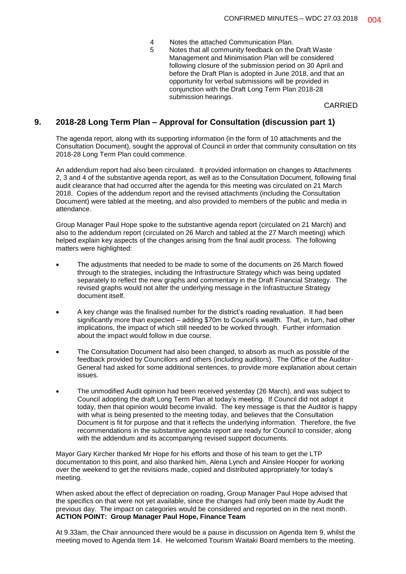- 4 Notes the attached Communication Plan.
- 5 Notes that all community feedback on the Draft Waste Management and Minimisation Plan will be considered following closure of the submission period on 30 April and before the Draft Plan is adopted in June 2018, and that an opportunity for verbal submissions will be provided in conjunction with the Draft Long Term Plan 2018-28 submission hearings.

CARRIED

## **9. 2018-28 Long Term Plan – Approval for Consultation (discussion part 1)**

The agenda report, along with its supporting information (in the form of 10 attachments and the Consultation Document), sought the approval of Council in order that community consultation on tits 2018-28 Long Term Plan could commence.

An addendum report had also been circulated. It provided information on changes to Attachments 2, 3 and 4 of the substantive agenda report, as well as to the Consultation Document, following final audit clearance that had occurred after the agenda for this meeting was circulated on 21 March 2018. Copies of the addendum report and the revised attachments (including the Consultation Document) were tabled at the meeting, and also provided to members of the public and media in attendance.

Group Manager Paul Hope spoke to the substantive agenda report (circulated on 21 March) and also to the addendum report (circulated on 26 March and tabled at the 27 March meeting) which helped explain key aspects of the changes arising from the final audit process. The following matters were highlighted:

- The adjustments that needed to be made to some of the documents on 26 March flowed through to the strategies, including the Infrastructure Strategy which was being updated separately to reflect the new graphs and commentary in the Draft Financial Strategy. The revised graphs would not alter the underlying message in the Infrastructure Strategy document itself.
- A key change was the finalised number for the district's roading revaluation. It had been significantly more than expected – adding \$70m to Council's wealth. That, in turn, had other implications, the impact of which still needed to be worked through. Further information about the impact would follow in due course.
- The Consultation Document had also been changed, to absorb as much as possible of the feedback provided by Councillors and others (including auditors). The Office of the Auditor-General had asked for some additional sentences, to provide more explanation about certain issues.
- The unmodified Audit opinion had been received yesterday (26 March), and was subject to Council adopting the draft Long Term Plan at today's meeting. If Council did not adopt it today, then that opinion would become invalid. The key message is that the Auditor is happy with what is being presented to the meeting today, and believes that the Consultation Document is fit for purpose and that it reflects the underlying information. Therefore, the five recommendations in the substantive agenda report are ready for Council to consider, along with the addendum and its accompanying revised support documents.

Mayor Gary Kircher thanked Mr Hope for his efforts and those of his team to get the LTP documentation to this point, and also thanked him, Alena Lynch and Ainslee Hooper for working over the weekend to get the revisions made, copied and distributed appropriately for today's meeting.

When asked about the effect of depreciation on roading, Group Manager Paul Hope advised that the specifics on that were not yet available, since the changes had only been made by Audit the previous day. The impact on categories would be considered and reported on in the next month. **ACTION POINT: Group Manager Paul Hope, Finance Team**

At 9.33am, the Chair announced there would be a pause in discussion on Agenda Item 9, whilst the meeting moved to Agenda Item 14. He welcomed Tourism Waitaki Board members to the meeting.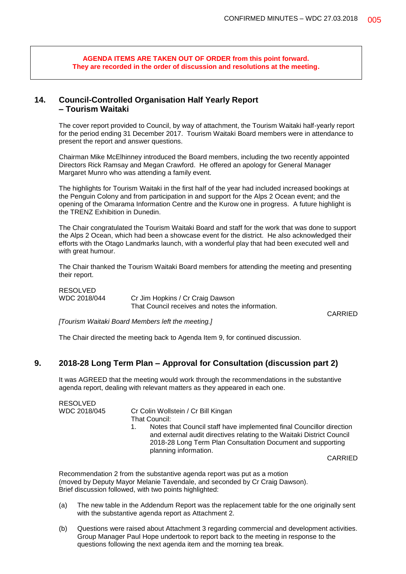**AGENDA ITEMS ARE TAKEN OUT OF ORDER from this point forward. They are recorded in the order of discussion and resolutions at the meeting.**

## **14. Council-Controlled Organisation Half Yearly Report – Tourism Waitaki**

The cover report provided to Council, by way of attachment, the Tourism Waitaki half-yearly report for the period ending 31 December 2017. Tourism Waitaki Board members were in attendance to present the report and answer questions.

Chairman Mike McElhinney introduced the Board members, including the two recently appointed Directors Rick Ramsay and Megan Crawford. He offered an apology for General Manager Margaret Munro who was attending a family event.

The highlights for Tourism Waitaki in the first half of the year had included increased bookings at the Penguin Colony and from participation in and support for the Alps 2 Ocean event; and the opening of the Omarama Information Centre and the Kurow one in progress. A future highlight is the TRENZ Exhibition in Dunedin.

The Chair congratulated the Tourism Waitaki Board and staff for the work that was done to support the Alps 2 Ocean, which had been a showcase event for the district. He also acknowledged their efforts with the Otago Landmarks launch, with a wonderful play that had been executed well and with great humour.

The Chair thanked the Tourism Waitaki Board members for attending the meeting and presenting their report.

RESOLVED

WDC 2018/044 Cr Jim Hopkins / Cr Craig Dawson That Council receives and notes the information.

CARRIED

*[Tourism Waitaki Board Members left the meeting.]*

The Chair directed the meeting back to Agenda Item 9, for continued discussion.

## **9. 2018-28 Long Term Plan – Approval for Consultation (discussion part 2)**

It was AGREED that the meeting would work through the recommendations in the substantive agenda report, dealing with relevant matters as they appeared in each one.

RESOLVED

WDC 2018/045 Cr Colin Wollstein / Cr Bill Kingan That Council:

1. Notes that Council staff have implemented final Councillor direction and external audit directives relating to the Waitaki District Council 2018-28 Long Term Plan Consultation Document and supporting planning information.

CARRIED

Recommendation 2 from the substantive agenda report was put as a motion (moved by Deputy Mayor Melanie Tavendale, and seconded by Cr Craig Dawson). Brief discussion followed, with two points highlighted:

- (a) The new table in the Addendum Report was the replacement table for the one originally sent with the substantive agenda report as Attachment 2.
- (b) Questions were raised about Attachment 3 regarding commercial and development activities. Group Manager Paul Hope undertook to report back to the meeting in response to the questions following the next agenda item and the morning tea break.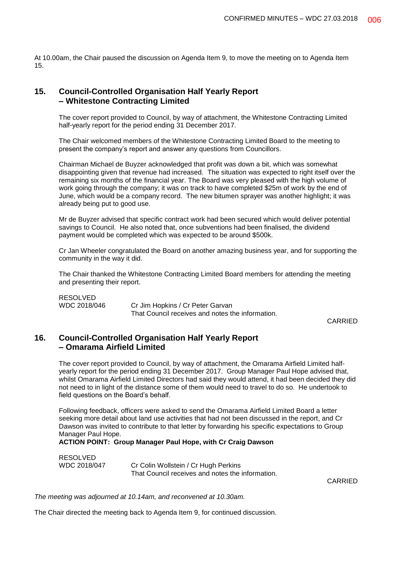At 10.00am, the Chair paused the discussion on Agenda Item 9, to move the meeting on to Agenda Item 15.

## **15. Council-Controlled Organisation Half Yearly Report – Whitestone Contracting Limited**

The cover report provided to Council, by way of attachment, the Whitestone Contracting Limited half-yearly report for the period ending 31 December 2017.

The Chair welcomed members of the Whitestone Contracting Limited Board to the meeting to present the company's report and answer any questions from Councillors.

Chairman Michael de Buyzer acknowledged that profit was down a bit, which was somewhat disappointing given that revenue had increased. The situation was expected to right itself over the remaining six months of the financial year. The Board was very pleased with the high volume of work going through the company; it was on track to have completed \$25m of work by the end of June, which would be a company record. The new bitumen sprayer was another highlight; it was already being put to good use.

Mr de Buyzer advised that specific contract work had been secured which would deliver potential savings to Council. He also noted that, once subventions had been finalised, the dividend payment would be completed which was expected to be around \$500k.

Cr Jan Wheeler congratulated the Board on another amazing business year, and for supporting the community in the way it did.

The Chair thanked the Whitestone Contracting Limited Board members for attending the meeting and presenting their report.

RESOLVED WDC 2018/046 Cr Jim Hopkins / Cr Peter Garvan That Council receives and notes the information.

CARRIED

## **16. Council-Controlled Organisation Half Yearly Report – Omarama Airfield Limited**

The cover report provided to Council, by way of attachment, the Omarama Airfield Limited halfyearly report for the period ending 31 December 2017. Group Manager Paul Hope advised that, whilst Omarama Airfield Limited Directors had said they would attend, it had been decided they did not need to in light of the distance some of them would need to travel to do so. He undertook to field questions on the Board's behalf.

Following feedback, officers were asked to send the Omarama Airfield Limited Board a letter seeking more detail about land use activities that had not been discussed in the report, and Cr Dawson was invited to contribute to that letter by forwarding his specific expectations to Group Manager Paul Hope.

**ACTION POINT: Group Manager Paul Hope, with Cr Craig Dawson**

| <b>RESOLVED</b> |                                                  |
|-----------------|--------------------------------------------------|
| WDC 2018/047    | Cr Colin Wollstein / Cr Hugh Perkins             |
|                 | That Council receives and notes the information. |

CARRIED

*The meeting was adjourned at 10.14am, and reconvened at 10.30am.*

The Chair directed the meeting back to Agenda Item 9, for continued discussion.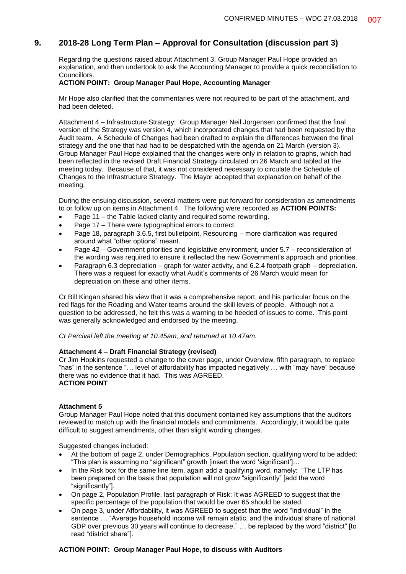## **9. 2018-28 Long Term Plan – Approval for Consultation (discussion part 3)**

Regarding the questions raised about Attachment 3, Group Manager Paul Hope provided an explanation, and then undertook to ask the Accounting Manager to provide a quick reconciliation to Councillors.

#### **ACTION POINT: Group Manager Paul Hope, Accounting Manager**

Mr Hope also clarified that the commentaries were not required to be part of the attachment, and had been deleted.

Attachment 4 – Infrastructure Strategy: Group Manager Neil Jorgensen confirmed that the final version of the Strategy was version 4, which incorporated changes that had been requested by the Audit team. A Schedule of Changes had been drafted to explain the differences between the final strategy and the one that had had to be despatched with the agenda on 21 March (version 3). Group Manager Paul Hope explained that the changes were only in relation to graphs, which had been reflected in the revised Draft Financial Strategy circulated on 26 March and tabled at the meeting today. Because of that, it was not considered necessary to circulate the Schedule of Changes to the Infrastructure Strategy. The Mayor accepted that explanation on behalf of the meeting.

During the ensuing discussion, several matters were put forward for consideration as amendments to or follow up on items in Attachment 4. The following were recorded as **ACTION POINTS:**

- Page 11 the Table lacked clarity and required some rewording.
- Page 17 There were typographical errors to correct.
- Page 18, paragraph 3.6.5, first bulletpoint, Resourcing more clarification was required around what "other options" meant.
- Page 42 Government priorities and legislative environment, under 5.7 reconsideration of the wording was required to ensure it reflected the new Government's approach and priorities.
- Paragraph 6.3 depreciation graph for water activity, and 6.2.4 footpath graph depreciation. There was a request for exactly what Audit's comments of 26 March would mean for depreciation on these and other items.

Cr Bill Kingan shared his view that it was a comprehensive report, and his particular focus on the red flags for the Roading and Water teams around the skill levels of people. Although not a question to be addressed, he felt this was a warning to be heeded of issues to come. This point was generally acknowledged and endorsed by the meeting.

*Cr Percival left the meeting at 10.45am, and returned at 10.47am.*

#### **Attachment 4 – Draft Financial Strategy (revised)**

Cr Jim Hopkins requested a change to the cover page, under Overview, fifth paragraph, to replace "has" in the sentence "… level of affordability has impacted negatively … with "may have" because there was no evidence that it had. This was AGREED. **ACTION POINT**

#### **Attachment 5**

Group Manager Paul Hope noted that this document contained key assumptions that the auditors reviewed to match up with the financial models and commitments. Accordingly, it would be quite difficult to suggest amendments, other than slight wording changes.

Suggested changes included:

- At the bottom of page 2, under Demographics, Population section, qualifying word to be added: "This plan is assuming no "significant" growth [insert the word 'significant']…
- In the Risk box for the same line item, again add a qualifying word, namely: "The LTP has been prepared on the basis that population will not grow "significantly" [add the word "significantly"].
- On page 2, Population Profile, last paragraph of Risk: It was AGREED to suggest that the specific percentage of the population that would be over 65 should be stated.
- On page 3, under Affordability, it was AGREED to suggest that the word "individual" in the sentence … "Average household income will remain static, and the individual share of national GDP over previous 30 years will continue to decrease." … be replaced by the word "district" [to read "district share"].

#### **ACTION POINT: Group Manager Paul Hope, to discuss with Auditors**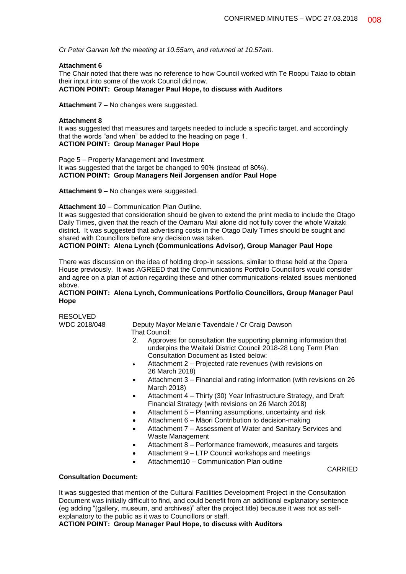*Cr Peter Garvan left the meeting at 10.55am, and returned at 10.57am.*

#### **Attachment 6**

The Chair noted that there was no reference to how Council worked with Te Roopu Taiao to obtain their input into some of the work Council did now.

**ACTION POINT: Group Manager Paul Hope, to discuss with Auditors**

**Attachment 7 –** No changes were suggested.

#### **Attachment 8**

It was suggested that measures and targets needed to include a specific target, and accordingly that the words "and when" be added to the heading on page 1. **ACTION POINT: Group Manager Paul Hope**

Page 5 – Property Management and Investment It was suggested that the target be changed to 90% (instead of 80%). **ACTION POINT: Group Managers Neil Jorgensen and/or Paul Hope**

Attachment 9 – No changes were suggested.

#### **Attachment 10** – Communication Plan Outline.

It was suggested that consideration should be given to extend the print media to include the Otago Daily Times, given that the reach of the Oamaru Mail alone did not fully cover the whole Waitaki district. It was suggested that advertising costs in the Otago Daily Times should be sought and shared with Councillors before any decision was taken.

#### **ACTION POINT: Alena Lynch (Communications Advisor), Group Manager Paul Hope**

There was discussion on the idea of holding drop-in sessions, similar to those held at the Opera House previously. It was AGREED that the Communications Portfolio Councillors would consider and agree on a plan of action regarding these and other communications-related issues mentioned above.

#### **ACTION POINT: Alena Lynch, Communications Portfolio Councillors, Group Manager Paul Hope**

RESOLVED<br>WDC 2018/048

Deputy Mayor Melanie Tavendale / Cr Craig Dawson That Council:

- 2. Approves for consultation the supporting planning information that underpins the Waitaki District Council 2018-28 Long Term Plan Consultation Document as listed below:
- Attachment 2 Projected rate revenues (with revisions on 26 March 2018)
- Attachment 3 Financial and rating information (with revisions on 26 March 2018)
- Attachment 4 Thirty (30) Year Infrastructure Strategy, and Draft Financial Strategy (with revisions on 26 March 2018)
- Attachment 5 Planning assumptions, uncertainty and risk
- Attachment 6 Māori Contribution to decision-making
- Attachment 7 Assessment of Water and Sanitary Services and Waste Management
- Attachment 8 Performance framework, measures and targets

CARRIED

- Attachment 9 LTP Council workshops and meetings
- Attachment10 Communication Plan outline

#### **Consultation Document:**

It was suggested that mention of the Cultural Facilities Development Project in the Consultation Document was initially difficult to find, and could benefit from an additional explanatory sentence (eg adding "(gallery, museum, and archives)" after the project title) because it was not as selfexplanatory to the public as it was to Councillors or staff.

**ACTION POINT: Group Manager Paul Hope, to discuss with Auditors**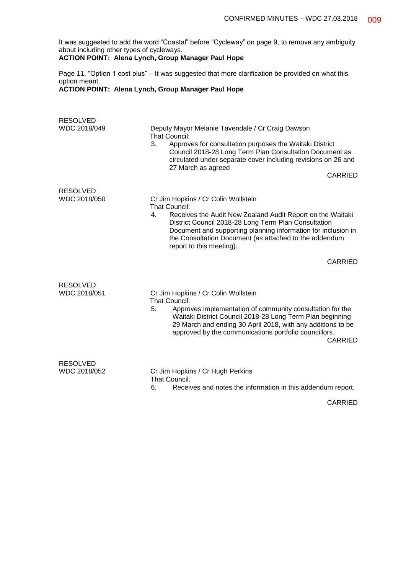It was suggested to add the word "Coastal" before "Cycleway" on page 9, to remove any ambiguity about including other types of cycleways.

## **ACTION POINT: Alena Lynch, Group Manager Paul Hope**

Page 11, "Option 1 cost plus" – It was suggested that more clarification be provided on what this option meant.

## **ACTION POINT: Alena Lynch, Group Manager Paul Hope**

| <b>RESOLVED</b><br>WDC 2018/049 | Deputy Mayor Melanie Tavendale / Cr Craig Dawson<br>That Council:<br>3.<br>Approves for consultation purposes the Waitaki District<br>Council 2018-28 Long Term Plan Consultation Document as<br>circulated under separate cover including revisions on 26 and<br>27 March as agreed<br>CARRIED                                                |
|---------------------------------|------------------------------------------------------------------------------------------------------------------------------------------------------------------------------------------------------------------------------------------------------------------------------------------------------------------------------------------------|
| <b>RESOLVED</b><br>WDC 2018/050 | Cr Jim Hopkins / Cr Colin Wollstein<br><b>That Council:</b><br>Receives the Audit New Zealand Audit Report on the Waitaki<br>4.<br>District Council 2018-28 Long Term Plan Consultation<br>Document and supporting planning information for inclusion in<br>the Consultation Document (as attached to the addendum<br>report to this meeting). |
|                                 | <b>CARRIED</b>                                                                                                                                                                                                                                                                                                                                 |
| <b>RESOLVED</b><br>WDC 2018/051 | Cr Jim Hopkins / Cr Colin Wollstein<br>That Council:<br>5.<br>Approves implementation of community consultation for the<br>Waitaki District Council 2018-28 Long Term Plan beginning<br>29 March and ending 30 April 2018, with any additions to be<br>approved by the communications portfolio councillors.<br><b>CARRIED</b>                 |
| <b>RESOLVED</b><br>WDC 2018/052 | Cr Jim Hopkins / Cr Hugh Perkins<br>That Council.<br>Receives and notes the information in this addendum report.<br>6.                                                                                                                                                                                                                         |

CARRIED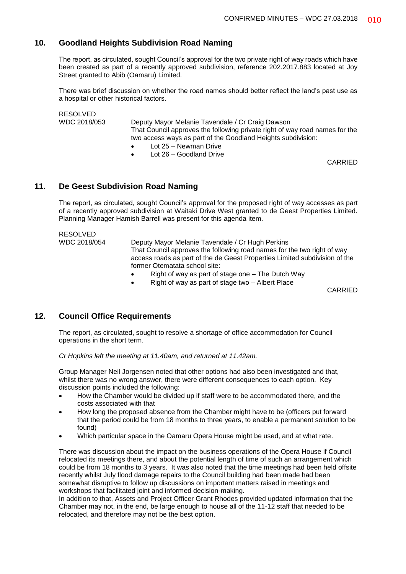## **10. Goodland Heights Subdivision Road Naming**

The report, as circulated, sought Council's approval for the two private right of way roads which have been created as part of a recently approved subdivision, reference 202.2017.883 located at Joy Street granted to Abib (Oamaru) Limited.

There was brief discussion on whether the road names should better reflect the land's past use as a hospital or other historical factors.

RESOLVED WDC 2018/053 Deputy Mayor Melanie Tavendale / Cr Craig Dawson That Council approves the following private right of way road names for the two access ways as part of the Goodland Heights subdivision:

- Lot 25 Newman Drive
- Lot 26 Goodland Drive

CARRIED

## **11. De Geest Subdivision Road Naming**

The report, as circulated, sought Council's approval for the proposed right of way accesses as part of a recently approved subdivision at Waitaki Drive West granted to de Geest Properties Limited. Planning Manager Hamish Barrell was present for this agenda item.

## RESOLVED

WDC 2018/054 Deputy Mayor Melanie Tavendale / Cr Hugh Perkins That Council approves the following road names for the two right of way access roads as part of the de Geest Properties Limited subdivision of the former Otematata school site:

- Right of way as part of stage one The Dutch Way
- Right of way as part of stage two Albert Place

CARRIED

## **12. Council Office Requirements**

The report, as circulated, sought to resolve a shortage of office accommodation for Council operations in the short term.

*Cr Hopkins left the meeting at 11.40am, and returned at 11.42am.*

Group Manager Neil Jorgensen noted that other options had also been investigated and that, whilst there was no wrong answer, there were different consequences to each option. Key discussion points included the following:

- How the Chamber would be divided up if staff were to be accommodated there, and the costs associated with that
- How long the proposed absence from the Chamber might have to be (officers put forward that the period could be from 18 months to three years, to enable a permanent solution to be found)
- Which particular space in the Oamaru Opera House might be used, and at what rate.

There was discussion about the impact on the business operations of the Opera House if Council relocated its meetings there, and about the potential length of time of such an arrangement which could be from 18 months to 3 years. It was also noted that the time meetings had been held offsite recently whilst July flood damage repairs to the Council building had been made had been somewhat disruptive to follow up discussions on important matters raised in meetings and workshops that facilitated joint and informed decision-making.

In addition to that, Assets and Project Officer Grant Rhodes provided updated information that the Chamber may not, in the end, be large enough to house all of the 11-12 staff that needed to be relocated, and therefore may not be the best option.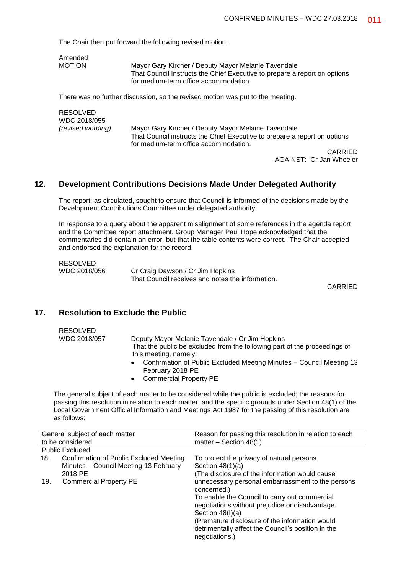The Chair then put forward the following revised motion:

Amended<br>MOTION

Mayor Gary Kircher / Deputy Mayor Melanie Tavendale That Council Instructs the Chief Executive to prepare a report on options for medium-term office accommodation.

There was no further discussion, so the revised motion was put to the meeting.

| RESOLVED<br>WDC 2018/055 |                                                                           |
|--------------------------|---------------------------------------------------------------------------|
| (revised wording)        | Mayor Gary Kircher / Deputy Mayor Melanie Tavendale                       |
|                          | That Council instructs the Chief Executive to prepare a report on options |
|                          | for medium-term office accommodation.                                     |
|                          | <b>AIRBIER</b>                                                            |

CARRIED AGAINST: Cr Jan Wheeler

## **12. Development Contributions Decisions Made Under Delegated Authority**

The report, as circulated, sought to ensure that Council is informed of the decisions made by the Development Contributions Committee under delegated authority.

In response to a query about the apparent misalignment of some references in the agenda report and the Committee report attachment, Group Manager Paul Hope acknowledged that the commentaries did contain an error, but that the table contents were correct. The Chair accepted and endorsed the explanation for the record.

| RESOLVED     |                                                  |
|--------------|--------------------------------------------------|
| WDC 2018/056 | Cr Craig Dawson / Cr Jim Hopkins                 |
|              | That Council receives and notes the information. |

CARRIED

## **17. Resolution to Exclude the Public**

| <b>RESOLVED</b> |                                                                                                                              |
|-----------------|------------------------------------------------------------------------------------------------------------------------------|
| WDC 2018/057    | Deputy Mayor Melanie Tavendale / Cr Jim Hopkins<br>That the public be excluded from the following part of the proceedings of |
|                 | this meeting, namely:                                                                                                        |
|                 | • Confirmation of Public Excluded Meeting Minutes – Council Meeting 13<br>February 2018 PE                                   |
|                 | • Commercial Property PE                                                                                                     |

The general subject of each matter to be considered while the public is excluded; the reasons for passing this resolution in relation to each matter, and the specific grounds under Section 48(1) of the Local Government Official Information and Meetings Act 1987 for the passing of this resolution are as follows:

| General subject of each matter<br>to be considered |                                                                                  | Reason for passing this resolution in relation to each<br>matter $-$ Section 48(1)                                                                                                                                                                                                                                   |
|----------------------------------------------------|----------------------------------------------------------------------------------|----------------------------------------------------------------------------------------------------------------------------------------------------------------------------------------------------------------------------------------------------------------------------------------------------------------------|
| Public Excluded:                                   |                                                                                  |                                                                                                                                                                                                                                                                                                                      |
| 18.<br>2018 PE                                     | Confirmation of Public Excluded Meeting<br>Minutes - Council Meeting 13 February | To protect the privacy of natural persons.<br>Section $48(1)(a)$<br>(The disclosure of the information would cause)                                                                                                                                                                                                  |
| 19.                                                | <b>Commercial Property PE</b>                                                    | unnecessary personal embarrassment to the persons<br>concerned.)<br>To enable the Council to carry out commercial<br>negotiations without prejudice or disadvantage.<br>Section $48(l)(a)$<br>(Premature disclosure of the information would<br>detrimentally affect the Council's position in the<br>negotiations.) |